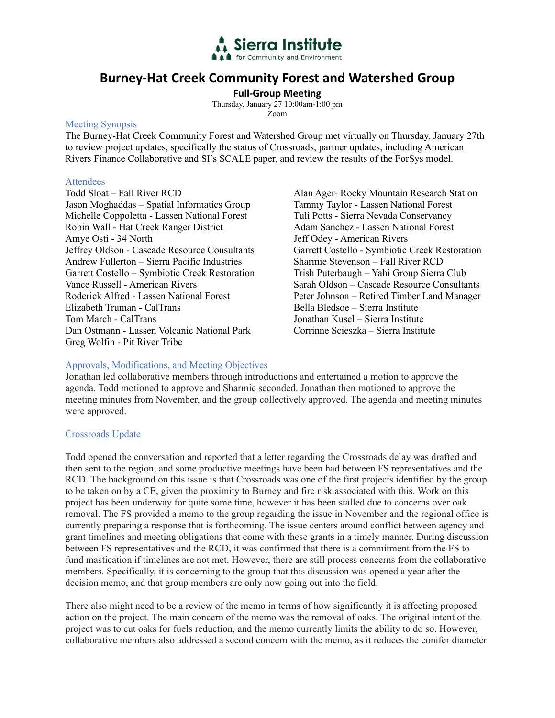

# **Burney-Hat Creek Community Forest and Watershed Group**

**Full-Group Meeting**

Thursday, January 27 10:00am-1:00 pm Zoom

# Meeting Synopsis

The Burney-Hat Creek Community Forest and Watershed Group met virtually on Thursday, January 27th to review project updates, specifically the status of Crossroads, partner updates, including American Rivers Finance Collaborative and SI's SCALE paper, and review the results of the ForSys model.

# **Attendees**

Todd Sloat – Fall River RCD Jason Moghaddas – Spatial Informatics Group Michelle Coppoletta - Lassen National Forest Robin Wall - Hat Creek Ranger District Amye Osti - 34 North Jeffrey Oldson - Cascade Resource Consultants Andrew Fullerton – Sierra Pacific Industries Garrett Costello – Symbiotic Creek Restoration Vance Russell - American Rivers Roderick Alfred - Lassen National Forest Elizabeth Truman - CalTrans Tom March - CalTrans Dan Ostmann - Lassen Volcanic National Park Greg Wolfin - Pit River Tribe

Alan Ager- Rocky Mountain Research Station Tammy Taylor - Lassen National Forest Tuli Potts - Sierra Nevada Conservancy Adam Sanchez - Lassen National Forest Jeff Odey - American Rivers Garrett Costello - Symbiotic Creek Restoration Sharmie Stevenson – Fall River RCD Trish Puterbaugh – Yahi Group Sierra Club Sarah Oldson – Cascade Resource Consultants Peter Johnson – Retired Timber Land Manager Bella Bledsoe – Sierra Institute Jonathan Kusel – Sierra Institute Corrinne Scieszka – Sierra Institute

# Approvals, Modifications, and Meeting Objectives

Jonathan led collaborative members through introductions and entertained a motion to approve the agenda. Todd motioned to approve and Sharmie seconded. Jonathan then motioned to approve the meeting minutes from November, and the group collectively approved. The agenda and meeting minutes were approved.

# Crossroads Update

Todd opened the conversation and reported that a letter regarding the Crossroads delay was drafted and then sent to the region, and some productive meetings have been had between FS representatives and the RCD. The background on this issue is that Crossroads was one of the first projects identified by the group to be taken on by a CE, given the proximity to Burney and fire risk associated with this. Work on this project has been underway for quite some time, however it has been stalled due to concerns over oak removal. The FS provided a memo to the group regarding the issue in November and the regional office is currently preparing a response that is forthcoming. The issue centers around conflict between agency and grant timelines and meeting obligations that come with these grants in a timely manner. During discussion between FS representatives and the RCD, it was confirmed that there is a commitment from the FS to fund mastication if timelines are not met. However, there are still process concerns from the collaborative members. Specifically, it is concerning to the group that this discussion was opened a year after the decision memo, and that group members are only now going out into the field.

There also might need to be a review of the memo in terms of how significantly it is affecting proposed action on the project. The main concern of the memo was the removal of oaks. The original intent of the project was to cut oaks for fuels reduction, and the memo currently limits the ability to do so. However, collaborative members also addressed a second concern with the memo, as it reduces the conifer diameter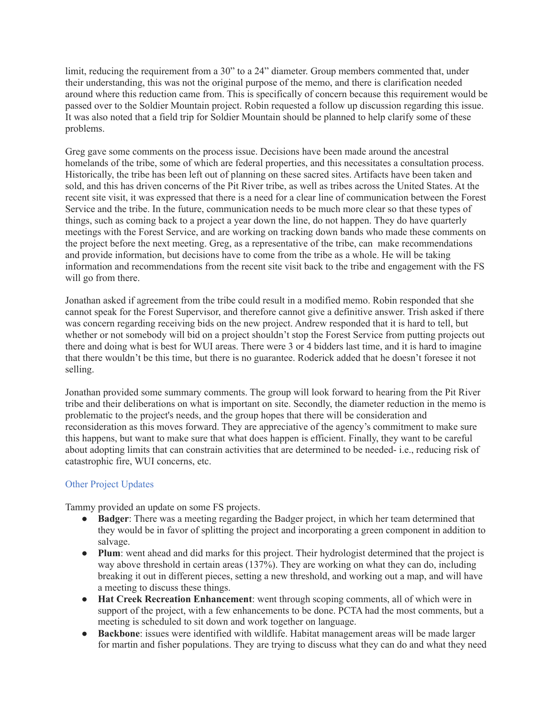limit, reducing the requirement from a 30" to a 24" diameter. Group members commented that, under their understanding, this was not the original purpose of the memo, and there is clarification needed around where this reduction came from. This is specifically of concern because this requirement would be passed over to the Soldier Mountain project. Robin requested a follow up discussion regarding this issue. It was also noted that a field trip for Soldier Mountain should be planned to help clarify some of these problems.

Greg gave some comments on the process issue. Decisions have been made around the ancestral homelands of the tribe, some of which are federal properties, and this necessitates a consultation process. Historically, the tribe has been left out of planning on these sacred sites. Artifacts have been taken and sold, and this has driven concerns of the Pit River tribe, as well as tribes across the United States. At the recent site visit, it was expressed that there is a need for a clear line of communication between the Forest Service and the tribe. In the future, communication needs to be much more clear so that these types of things, such as coming back to a project a year down the line, do not happen. They do have quarterly meetings with the Forest Service, and are working on tracking down bands who made these comments on the project before the next meeting. Greg, as a representative of the tribe, can make recommendations and provide information, but decisions have to come from the tribe as a whole. He will be taking information and recommendations from the recent site visit back to the tribe and engagement with the FS will go from there.

Jonathan asked if agreement from the tribe could result in a modified memo. Robin responded that she cannot speak for the Forest Supervisor, and therefore cannot give a definitive answer. Trish asked if there was concern regarding receiving bids on the new project. Andrew responded that it is hard to tell, but whether or not somebody will bid on a project shouldn't stop the Forest Service from putting projects out there and doing what is best for WUI areas. There were 3 or 4 bidders last time, and it is hard to imagine that there wouldn't be this time, but there is no guarantee. Roderick added that he doesn't foresee it not selling.

Jonathan provided some summary comments. The group will look forward to hearing from the Pit River tribe and their deliberations on what is important on site. Secondly, the diameter reduction in the memo is problematic to the project's needs, and the group hopes that there will be consideration and reconsideration as this moves forward. They are appreciative of the agency's commitment to make sure this happens, but want to make sure that what does happen is efficient. Finally, they want to be careful about adopting limits that can constrain activities that are determined to be needed- i.e., reducing risk of catastrophic fire, WUI concerns, etc.

# Other Project Updates

Tammy provided an update on some FS projects.

- **Badger**: There was a meeting regarding the Badger project, in which her team determined that they would be in favor of splitting the project and incorporating a green component in addition to salvage.
- **Plum**: went ahead and did marks for this project. Their hydrologist determined that the project is way above threshold in certain areas (137%). They are working on what they can do, including breaking it out in different pieces, setting a new threshold, and working out a map, and will have a meeting to discuss these things.
- **Hat Creek Recreation Enhancement**: went through scoping comments, all of which were in support of the project, with a few enhancements to be done. PCTA had the most comments, but a meeting is scheduled to sit down and work together on language.
- **Backbone**: issues were identified with wildlife. Habitat management areas will be made larger for martin and fisher populations. They are trying to discuss what they can do and what they need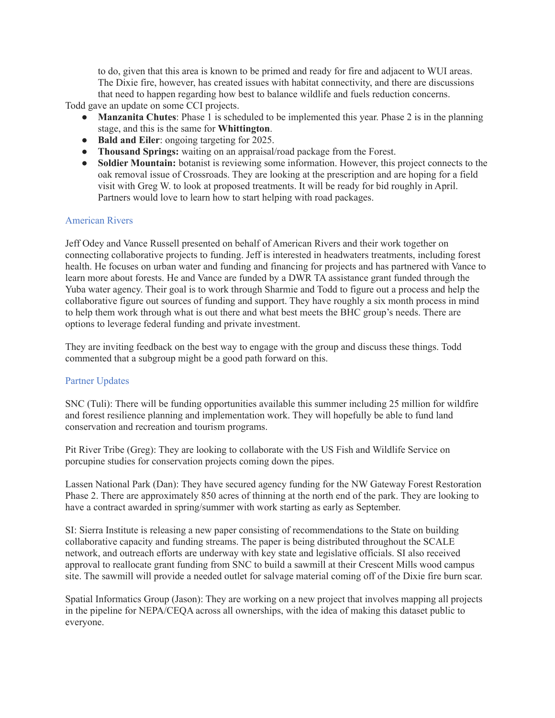to do, given that this area is known to be primed and ready for fire and adjacent to WUI areas. The Dixie fire, however, has created issues with habitat connectivity, and there are discussions that need to happen regarding how best to balance wildlife and fuels reduction concerns.

Todd gave an update on some CCI projects.

- **Manzanita Chutes**: Phase 1 is scheduled to be implemented this year. Phase 2 is in the planning stage, and this is the same for **Whittington**.
- **Bald and Eiler**: ongoing targeting for 2025.
- **Thousand Springs:** waiting on an appraisal/road package from the Forest.
- **Soldier Mountain:** botanist is reviewing some information. However, this project connects to the oak removal issue of Crossroads. They are looking at the prescription and are hoping for a field visit with Greg W. to look at proposed treatments. It will be ready for bid roughly in April. Partners would love to learn how to start helping with road packages.

# American Rivers

Jeff Odey and Vance Russell presented on behalf of American Rivers and their work together on connecting collaborative projects to funding. Jeff is interested in headwaters treatments, including forest health. He focuses on urban water and funding and financing for projects and has partnered with Vance to learn more about forests. He and Vance are funded by a DWR TA assistance grant funded through the Yuba water agency. Their goal is to work through Sharmie and Todd to figure out a process and help the collaborative figure out sources of funding and support. They have roughly a six month process in mind to help them work through what is out there and what best meets the BHC group's needs. There are options to leverage federal funding and private investment.

They are inviting feedback on the best way to engage with the group and discuss these things. Todd commented that a subgroup might be a good path forward on this.

# Partner Updates

SNC (Tuli): There will be funding opportunities available this summer including 25 million for wildfire and forest resilience planning and implementation work. They will hopefully be able to fund land conservation and recreation and tourism programs.

Pit River Tribe (Greg): They are looking to collaborate with the US Fish and Wildlife Service on porcupine studies for conservation projects coming down the pipes.

Lassen National Park (Dan): They have secured agency funding for the NW Gateway Forest Restoration Phase 2. There are approximately 850 acres of thinning at the north end of the park. They are looking to have a contract awarded in spring/summer with work starting as early as September.

SI: Sierra Institute is releasing a new paper consisting of recommendations to the State on building collaborative capacity and funding streams. The paper is being distributed throughout the SCALE network, and outreach efforts are underway with key state and legislative officials. SI also received approval to reallocate grant funding from SNC to build a sawmill at their Crescent Mills wood campus site. The sawmill will provide a needed outlet for salvage material coming off of the Dixie fire burn scar.

Spatial Informatics Group (Jason): They are working on a new project that involves mapping all projects in the pipeline for NEPA/CEQA across all ownerships, with the idea of making this dataset public to everyone.